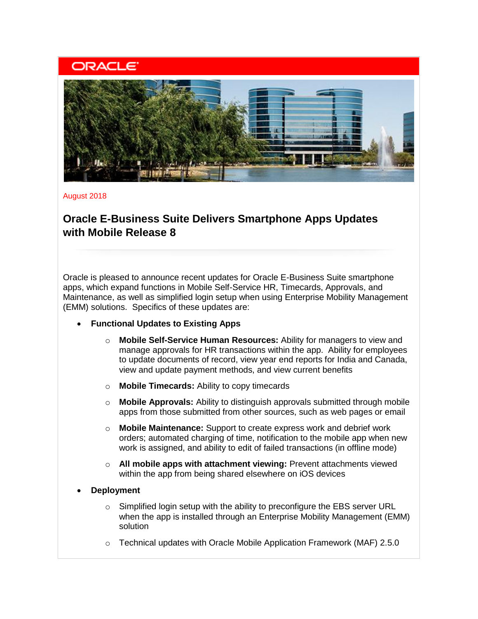# **ORACLE**



August 2018

# **Oracle E-Business Suite Delivers Smartphone Apps Updates with Mobile Release 8**

Oracle is pleased to announce recent updates for Oracle E-Business Suite smartphone apps, which expand functions in Mobile Self-Service HR, Timecards, Approvals, and Maintenance, as well as simplified login setup when using Enterprise Mobility Management (EMM) solutions. Specifics of these updates are:

- **Functional Updates to Existing Apps**
	- o **Mobile Self-Service Human Resources:** Ability for managers to view and manage approvals for HR transactions within the app. Ability for employees to update documents of record, view year end reports for India and Canada, view and update payment methods, and view current benefits
	- o **Mobile Timecards:** Ability to copy timecards
	- o **Mobile Approvals:** Ability to distinguish approvals submitted through mobile apps from those submitted from other sources, such as web pages or email
	- o **Mobile Maintenance:** Support to create express work and debrief work orders; automated charging of time, notification to the mobile app when new work is assigned, and ability to edit of failed transactions (in offline mode)
	- o **All mobile apps with attachment viewing:** Prevent attachments viewed within the app from being shared elsewhere on iOS devices
- **Deployment** 
	- o Simplified login setup with the ability to preconfigure the EBS server URL when the app is installed through an Enterprise Mobility Management (EMM) solution
	- $\circ$  Technical updates with Oracle Mobile Application Framework (MAF) 2.5.0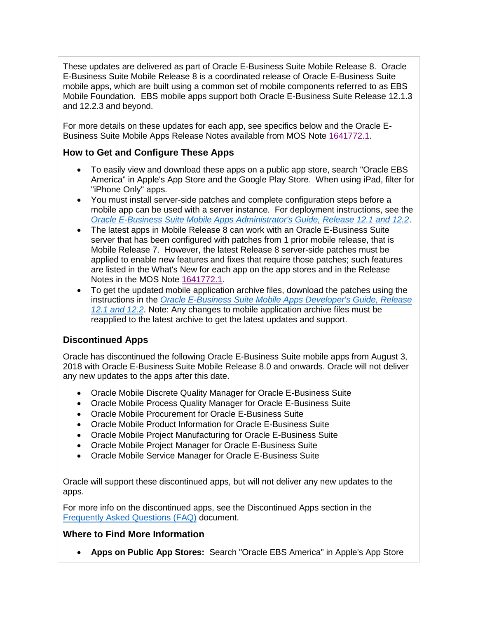These updates are delivered as part of Oracle E-Business Suite Mobile Release 8. Oracle E-Business Suite Mobile Release 8 is a coordinated release of Oracle E-Business Suite mobile apps, which are built using a common set of mobile components referred to as EBS Mobile Foundation. EBS mobile apps support both Oracle E-Business Suite Release 12.1.3 and 12.2.3 and beyond.

For more details on these updates for each app, see specifics below and the Oracle E-Business Suite Mobile Apps Release Notes available from MOS Note [1641772.1.](https://support.oracle.com/rs?type=doc&id=1641772.1)

#### **How to Get and Configure These Apps**

- To easily view and download these apps on a public app store, search "Oracle EBS America" in Apple's App Store and the Google Play Store. When using iPad, filter for "iPhone Only" apps.
- You must install server-side patches and complete configuration steps before a mobile app can be used with a server instance. For deployment instructions, see the *[Oracle E-Business Suite Mobile Apps Administrator's Guide, Release 12.1 and 12.2](http://docs.oracle.com/cd/E26401_01/doc.122/e64384.pdf)*.
- The latest apps in Mobile Release 8 can work with an Oracle E-Business Suite server that has been configured with patches from 1 prior mobile release, that is Mobile Release 7. However, the latest Release 8 server-side patches must be applied to enable new features and fixes that require those patches; such features are listed in the What's New for each app on the app stores and in the Release Notes in the MOS Note [1641772.1.](https://support.oracle.com/rs?type=doc&id=1641772.1)
- To get the updated mobile application archive files, download the patches using the instructions in the *[Oracle E-Business Suite Mobile Apps Developer's Guide, Release](http://docs.oracle.com/cd/E26401_01/doc.122/e69284.pdf)  [12.1 and 12.2](http://docs.oracle.com/cd/E26401_01/doc.122/e69284.pdf)*. Note: Any changes to mobile application archive files must be reapplied to the latest archive to get the latest updates and support.

## **Discontinued Apps**

Oracle has discontinued the following Oracle E-Business Suite mobile apps from August 3, 2018 with Oracle E-Business Suite Mobile Release 8.0 and onwards. Oracle will not deliver any new updates to the apps after this date.

- Oracle Mobile Discrete Quality Manager for Oracle E-Business Suite
- Oracle Mobile Process Quality Manager for Oracle E-Business Suite
- Oracle Mobile Procurement for Oracle E-Business Suite
- Oracle Mobile Product Information for Oracle E-Business Suite
- Oracle Mobile Project Manufacturing for Oracle E-Business Suite
- Oracle Mobile Project Manager for Oracle E-Business Suite
- Oracle Mobile Service Manager for Oracle E-Business Suite

Oracle will support these discontinued apps, but will not deliver any new updates to the apps.

For more info on the discontinued apps, see the Discontinued Apps section in the [Frequently Asked](https://support.oracle.com/epmos/faces/DocumentDisplay?parent=DOCUMENT&sourceId=1641772.1&id=2064887.1) Questions (FAQ) document.

## **Where to Find More Information**

• **Apps on Public App Stores:** Search "Oracle EBS America" in Apple's App Store